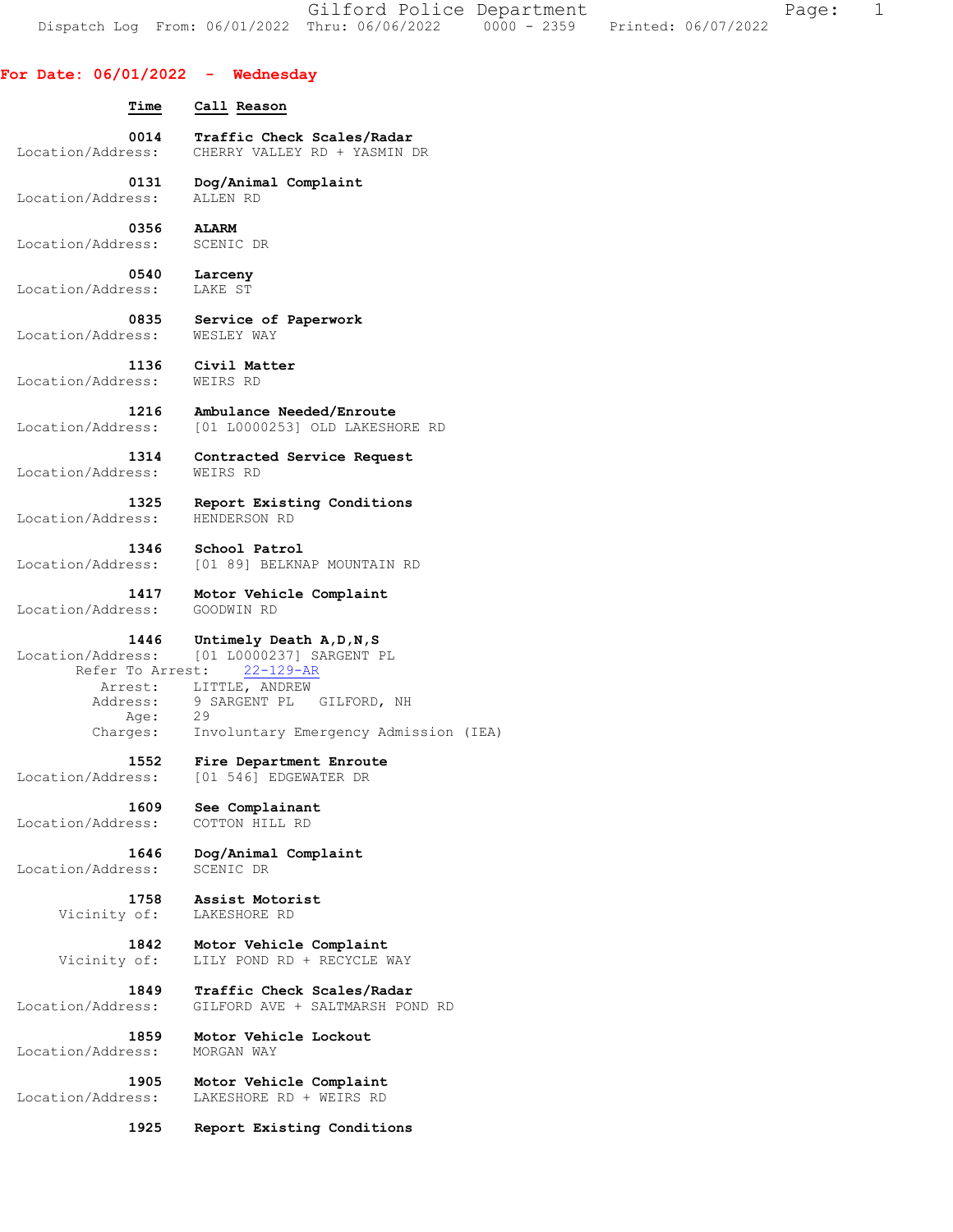Gilford Police Department Fage: 1 Dispatch Log From: 06/01/2022 Thru: 06/06/2022 0000 - 2359 Printed: 06/07/2022

#### **For Date: 06/01/2022 - Wednesday**

 **Time Call Reason** 

**0014 Traffic Check Scales/Radar <br>Location/Address:** CHERRY VALLEY RD + YASMIN CHERRY VALLEY RD + YASMIN DR

 **0131 Dog/Animal Complaint**  Location/Address: ALLEN RD

 **0356 ALARM**  Location/Address: SCENIC DR

 **0540 Larceny**  Location/Address: LAKE ST

 **0835 Service of Paperwork**  Location/Address:

 **1136 Civil Matter**  Location/Address: WEIRS RD

**1216 Ambulance Needed/Enroute**<br>Location/Address: [01 L0000253] OLD LAKESH [01 L0000253] OLD LAKESHORE RD

 **1314 Contracted Service Request**  Location/Address: WEIRS RD

 **1325 Report Existing Conditions**  Location/Address: HENDERSON RD

 **1346 School Patrol**  Location/Address: [01 89] BELKNAP MOUNTAIN RD

 **1417 Motor Vehicle Complaint**  Location/Address: GOODWIN RD

 **1446 Untimely Death A,D,N,S**  Location/Address: [01 L0000237] SARGENT PL Refer To Arrest: 22-129-AR Arrest: LITTLE, ANDREW Address: 9 SARGENT PL GILFORD, NH Age: 29 Charges: Involuntary Emergency Admission (IEA)

**1552 Fire Department Enroute**<br>Location/Address: [01 546] EDGEWATER DR [01 546] EDGEWATER DR

Location/Address:

 **1609 See Complainant**  Location/Address: COTTON HILL RD

 **1646 Dog/Animal Complaint** 

 **1758 Assist Motorist**  Vicinity of: LAKESHORE RD

 **1842 Motor Vehicle Complaint**  Vicinity of: LILY POND RD + RECYCLE WAY

 **1849 Traffic Check Scales/Radar**  Location/Address: GILFORD AVE + SALTMARSH POND RD

 **1859 Motor Vehicle Lockout**  Location/Address:

 **1905 Motor Vehicle Complaint**  Location/Address: LAKESHORE RD + WEIRS RD

 **1925 Report Existing Conditions**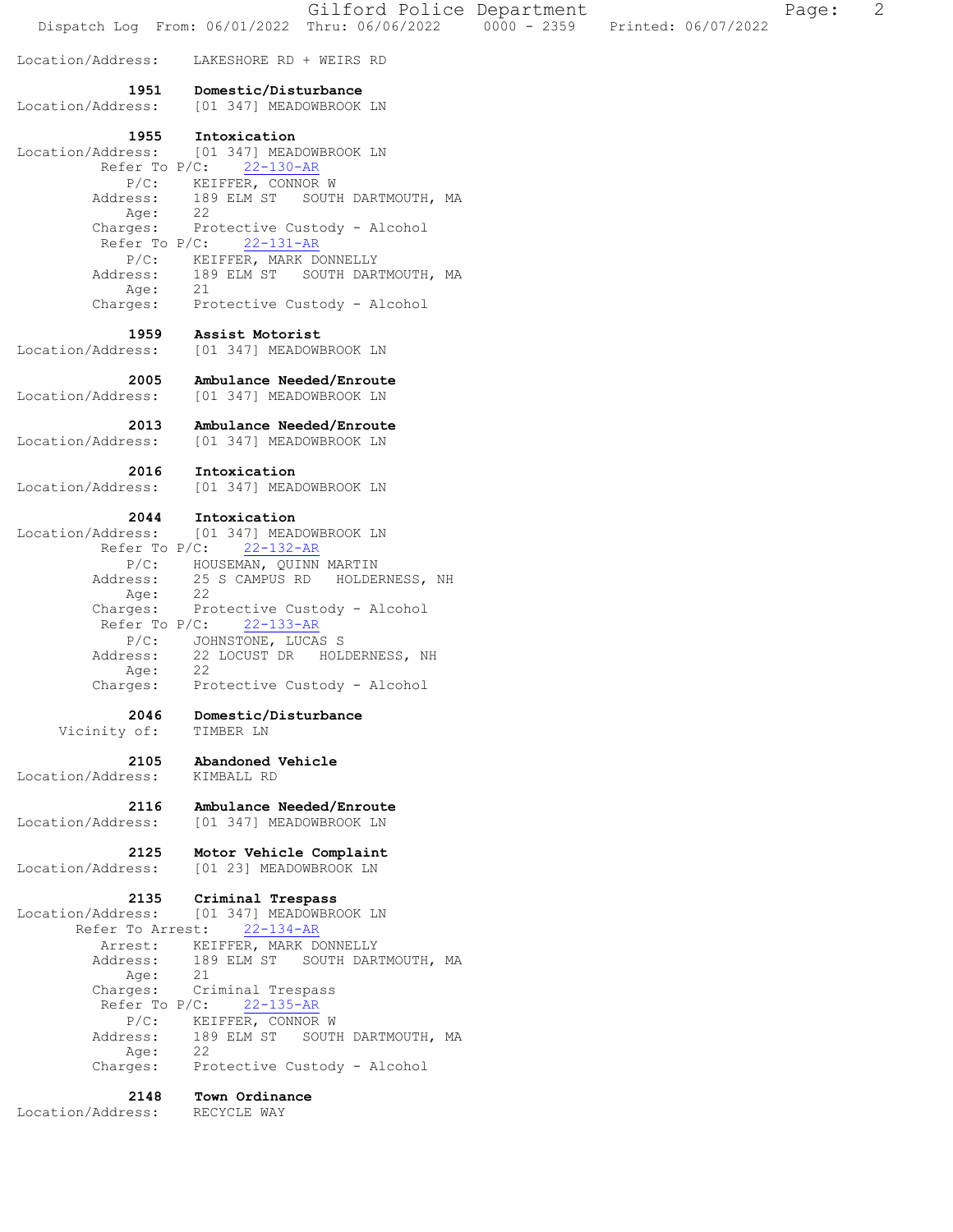Gilford Police Department Fage: 2 Dispatch Log From: 06/01/2022 Thru: 06/06/2022 0000 - 2359 Printed: 06/07/2022 Location/Address: LAKESHORE RD + WEIRS RD  **1951 Domestic/Disturbance**  Location/Address: [01 347] MEADOWBROOK LN **1955 Intoxication**<br>Location/Address: [01 347] MEAI Location/Address: [01 347] MEADOWBROOK LN Refer To P/C: 22-130-AR P/C: KEIFFER, CONNOR W Address: 189 ELM ST SOUTH DARTMOUTH, MA Age: 22 Charges: Protective Custody - Alcohol Refer To P/C: 22-131-AR P/C: KEIFFER, MARK DONNELLY Address: 189 ELM ST SOUTH DARTMOUTH, MA Age: 21 Charges: Protective Custody - Alcohol  **1959 Assist Motorist**  Location/Address: [01 347] MEADOWBROOK LN  **2005 Ambulance Needed/Enroute**  Location/Address: [01 347] MEADOWBROOK LN  **2013 Ambulance Needed/Enroute**  Location/Address: [01 347] MEADOWBROOK LN  **2016 Intoxication**  Location/Address: [01 347] MEADOWBROOK LN  **2044 Intoxication**  Location/Address: [01 347] MEADOWBROOK LN Refer To P/C: 22-132-AR P/C: HOUSEMAN, QUINN MARTIN Address: 25 S CAMPUS RD HOLDERNESS, NH Age: 22 Charges: Protective Custody - Alcohol Refer To P/C: 22-133-AR P/C: JOHNSTONE, LUCAS S Address: 22 LOCUST DR HOLDERNESS, NH Age: 22 Charges: Protective Custody - Alcohol  **2046 Domestic/Disturbance**  Vicinity of: TIMBER LN  **2105 Abandoned Vehicle**  Location/Address: KIMBALL RD  **2116 Ambulance Needed/Enroute**  Location/Address: [01 347] MEADOWBROOK LN  **2125 Motor Vehicle Complaint**  Location/Address: [01 23] MEADOWBROOK LN  **2135 Criminal Trespass**  Location/Address: [01 347] MEADOWBROOK LN Refer To Arrest: 22-134-AR Arrest: KEIFFER, MARK DONNELLY 189 ELM ST SOUTH DARTMOUTH, MA<br>21 Address:<br>Age:<br>Charges: --<br>Criminal Trespass Refer To P/C: 22-135-AR P/C: KEIFFER, CONNOR W Address: 189 ELM ST SOUTH DARTMOUTH, MA Age: 22 Charges: Protective Custody - Alcohol  **2148 Town Ordinance**  Location/Address: RECYCLE WAY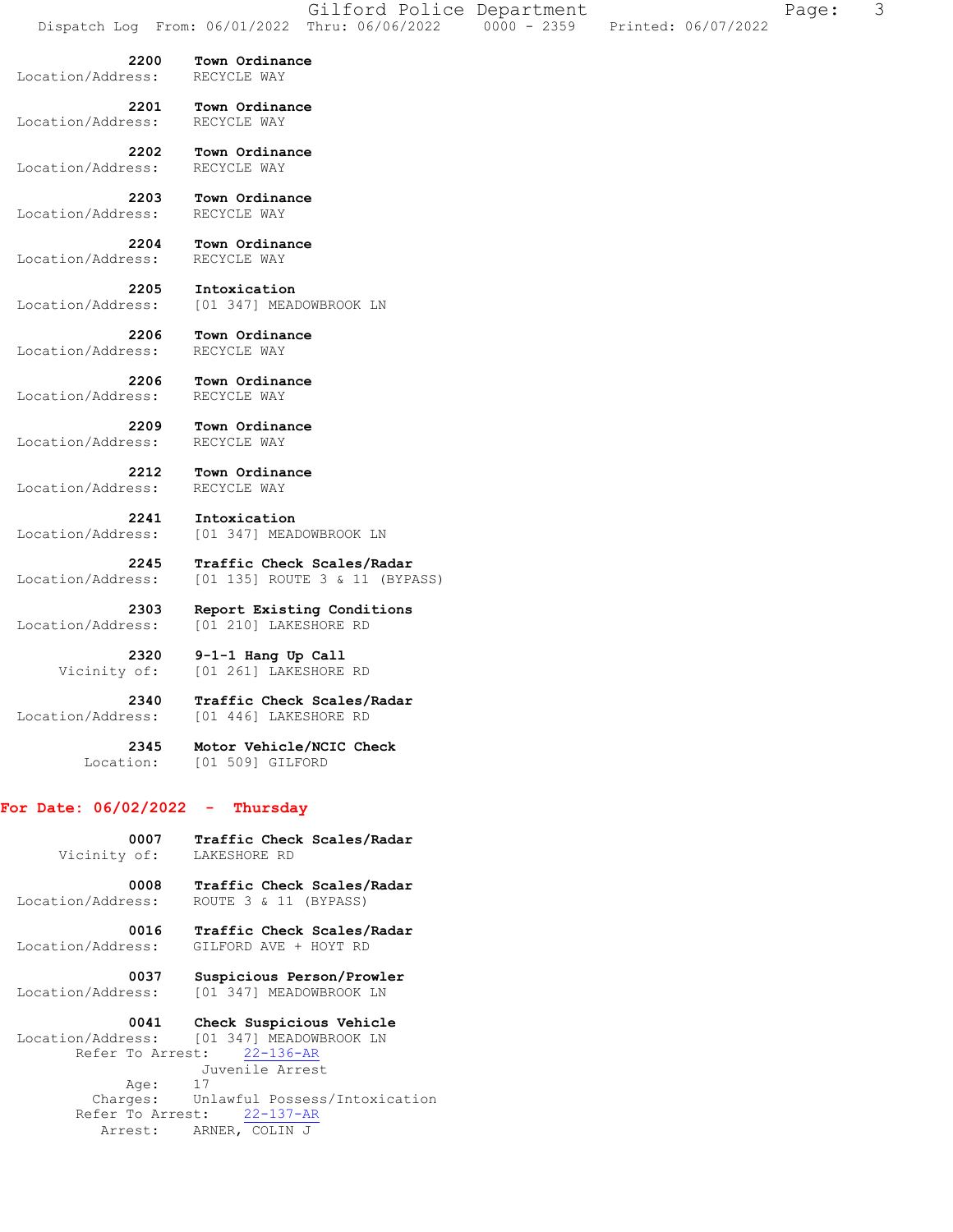Location/Address: RECYCLE WAY  **2201 Town Ordinance**  Location/Address:  **2202 Town Ordinance**  Location/Address: RECYCLE WAY  **2203 Town Ordinance**  Location/Address:  **2204 Town Ordinance**  Location/Address: RECYCLE WAY  **2205 Intoxication**  Location/Address: [01 347] MEADOWBROOK LN  **2206 Town Ordinance**  Location/Address:  **2206 Town Ordinance**  Location/Address: RECYCLE WAY  **2209 Town Ordinance**  Location/Address: RECYCLE WAY  **2212 Town Ordinance**  Location/Address: RECYCLE WAY  **2241 Intoxication**  Location/Address: [01 347] MEADOWBROOK LN  **2245 Traffic Check Scales/Radar**  Location/Address: [01 135] ROUTE 3 & 11 (BYPASS)  **2303 Report Existing Conditions**  Location/Address: [01 210] LAKESHORE RD  **2320 9-1-1 Hang Up Call**  Vicinity of: [01 261] LAKESHORE RD  **2340 Traffic Check Scales/Radar**  Location/Address: [01 446] LAKESHORE RD  **2345 Motor Vehicle/NCIC Check**  Location: [01 509] GILFORD **For Date: 06/02/2022 - Thursday 0007 Traffic Check Scales/Radar** 

 **2200 Town Ordinance** 

# Vicinity of: LAKESHORE RD  **0008 Traffic Check Scales/Radar**  Location/Address: ROUTE 3 & 11 (BYPASS)  **0016 Traffic Check Scales/Radar**  Location/Address: GILFORD AVE + HOYT RD  **0037 Suspicious Person/Prowler**  Location/Address: [01 347] MEADOWBROOK LN  **0041 Check Suspicious Vehicle**  Location/Address: [01 347] MEADOWBROOK LN Refer To Arrest: 22-136-AR Juvenile Arrest Age: 17

 Charges: Unlawful Possess/Intoxication Refer To Arrest: 22-137-AR Arrest: ARNER, COLIN J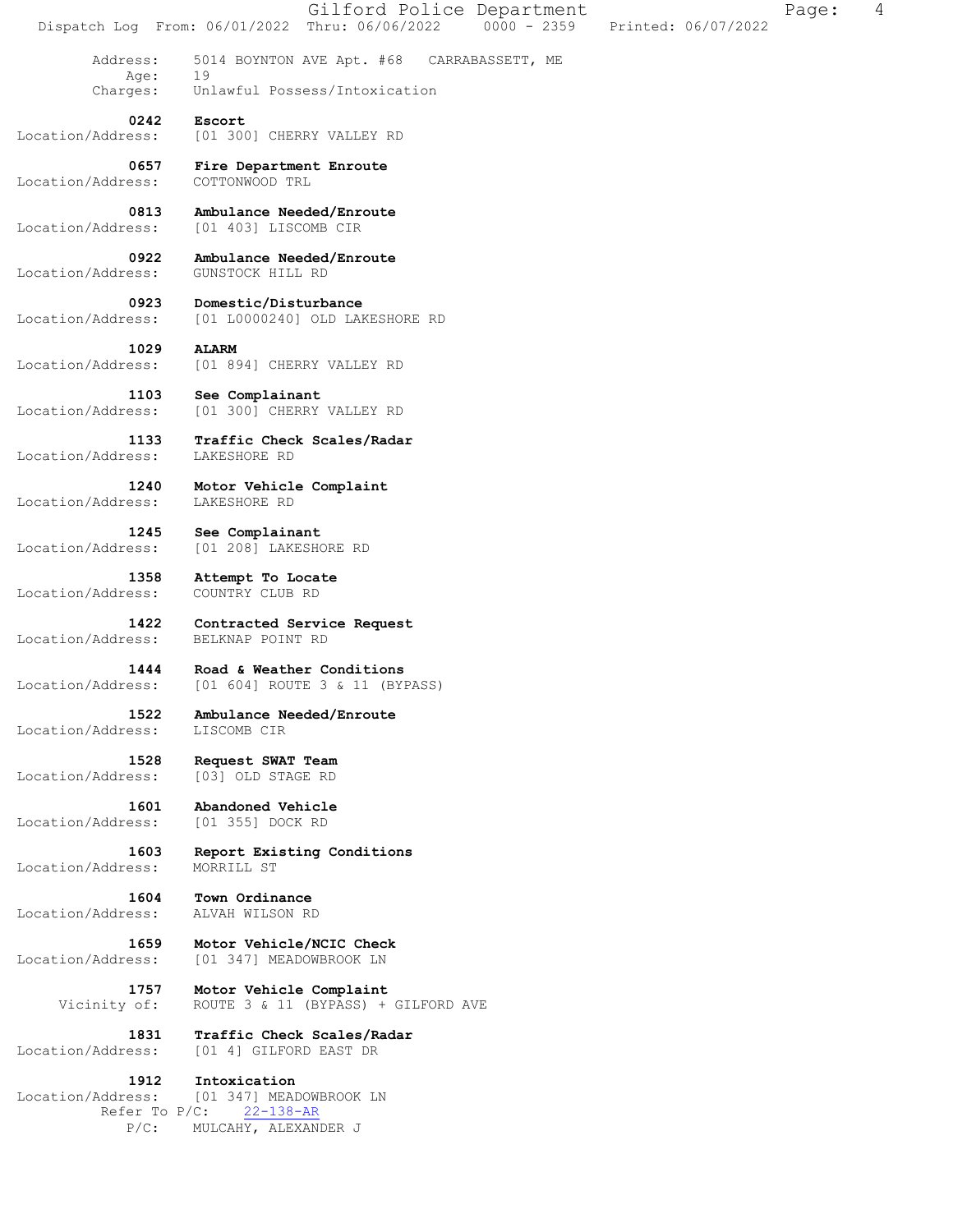Gilford Police Department Fage: 4 Dispatch Log From: 06/01/2022 Thru: 06/06/2022 0000 - 2359 Printed: 06/07/2022 Address: 5014 BOYNTON AVE Apt. #68 CARRABASSETT, ME Age: Charges: Unlawful Possess/Intoxication  **0242 Escort**  Location/Address: [01 300] CHERRY VALLEY RD  **0657 Fire Department Enroute**  Location/Address: COTTONWOOD TRL **0813 Ambulance Needed/Enroute** <br>Location/Address: [01 403] LISCOMB CIR Location/Address: [01 403] LISCOMB CIR  **0922 Ambulance Needed/Enroute**  Location/Address: GUNSTOCK HILL RD  **0923 Domestic/Disturbance**  Location/Address: [01 L0000240] OLD LAKESHORE RD  **1029 ALARM**  Location/Address: [01 894] CHERRY VALLEY RD  **1103 See Complainant**  Location/Address: [01 300] CHERRY VALLEY RD  **1133 Traffic Check Scales/Radar**  Location/Address: LAKESHORE RD  **1240 Motor Vehicle Complaint**  Location/Address: LAKESHORE RD  **1245 See Complainant**  Location/Address: [01 208] LAKESHORE RD  **1358 Attempt To Locate**  Location/Address: COUNTRY CLUB RD  **1422 Contracted Service Request**  Location/Address: BELKNAP POINT RD  **1444 Road & Weather Conditions**  Location/Address: [01 604] ROUTE 3 & 11 (BYPASS)  **1522 Ambulance Needed/Enroute**  Location/Address: LISCOMB CIR  **1528 Request SWAT Team**  Location/Address: [03] OLD STAGE RD 1601 **Abandoned Vehicle**<br>ess: [01 355] DOCK RD Location/Address:  **1603 Report Existing Conditions**  Location/Address: MORRILL ST  **1604 Town Ordinance**  Location/Address: ALVAH WILSON RD  **1659 Motor Vehicle/NCIC Check**  Location/Address: [01 347] MEADOWBROOK LN  **1757 Motor Vehicle Complaint**  Vicinity of: ROUTE 3 & 11 (BYPASS) + GILFORD AVE  **1831 Traffic Check Scales/Radar**  Location/Address: [01 4] GILFORD EAST DR  **1912 Intoxication**  Location/Address: [01 347] MEADOWBROOK LN Refer To P/C: 22-138-AR P/C: MULCAHY, ALEXANDER J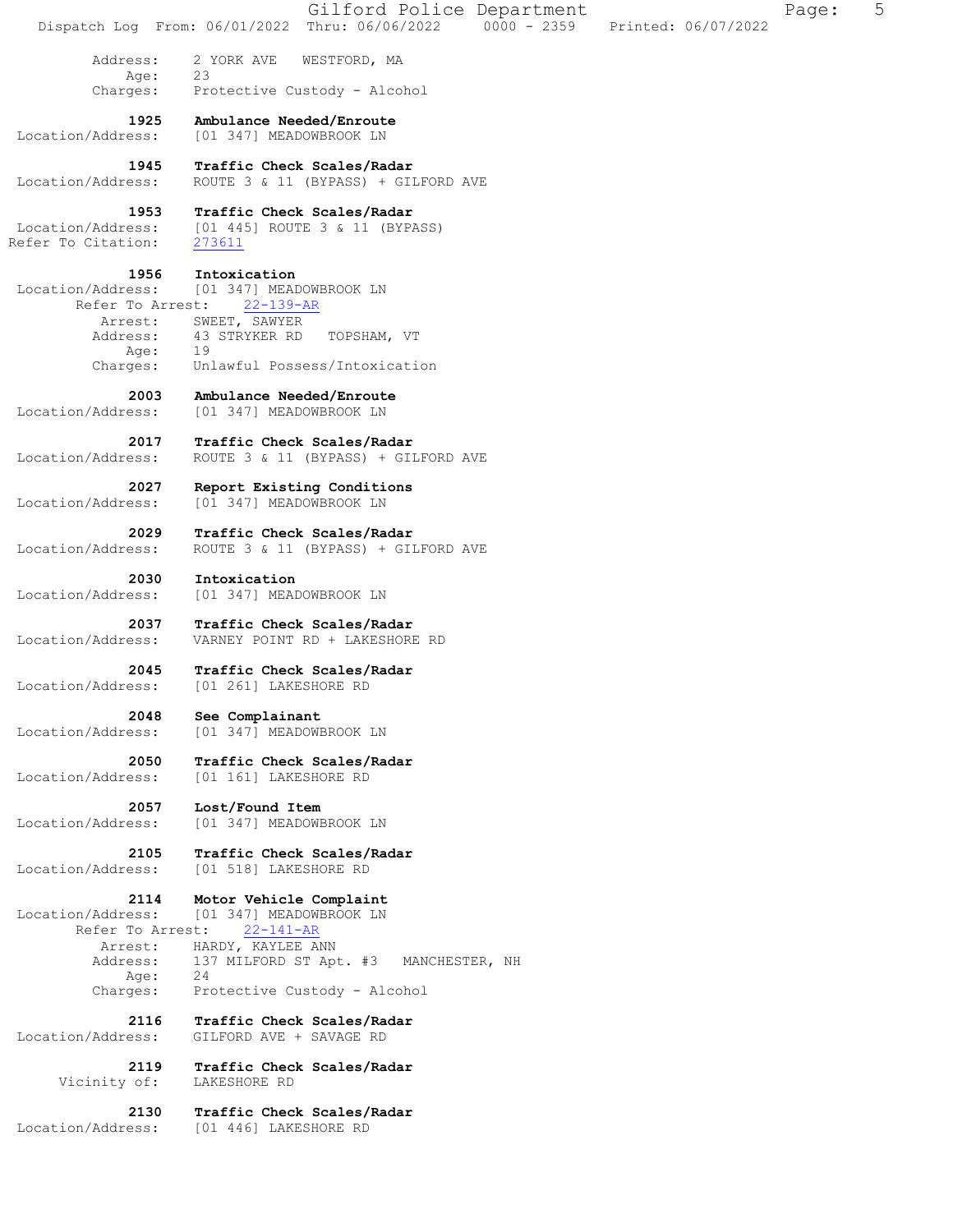|                                                                              | 5<br>Gilford Police Department<br>Page:<br>Dispatch Log From: 06/01/2022 Thru: 06/06/2022 0000 - 2359<br>Printed: 06/07/2022                 |
|------------------------------------------------------------------------------|----------------------------------------------------------------------------------------------------------------------------------------------|
| Address:                                                                     | 2 YORK AVE<br>WESTFORD, MA                                                                                                                   |
| Age:                                                                         | 23                                                                                                                                           |
| Charges:                                                                     | Protective Custody - Alcohol                                                                                                                 |
| 1925                                                                         | Ambulance Needed/Enroute                                                                                                                     |
| Location/Address:                                                            | [01 347] MEADOWBROOK LN                                                                                                                      |
| 1945                                                                         | Traffic Check Scales/Radar                                                                                                                   |
| Location/Address:                                                            | ROUTE 3 & 11 (BYPASS) + GILFORD AVE                                                                                                          |
| 1953                                                                         | Traffic Check Scales/Radar                                                                                                                   |
| Location/Address:                                                            | [01 445] ROUTE 3 & 11 (BYPASS)                                                                                                               |
| Refer To Citation:                                                           | 273611                                                                                                                                       |
| 1956                                                                         | Intoxication                                                                                                                                 |
| Location/Address:                                                            | [01 347] MEADOWBROOK LN                                                                                                                      |
| Refer To Arrest:                                                             | $22 - 139 - AR$                                                                                                                              |
| Arrest:<br>Address:<br>Age:                                                  | SWEET, SAWYER<br>43 STRYKER RD<br>TOPSHAM, VT<br>19                                                                                          |
| Charges:                                                                     | Unlawful Possess/Intoxication                                                                                                                |
| 2003                                                                         | Ambulance Needed/Enroute                                                                                                                     |
| Location/Address:                                                            | [01 347] MEADOWBROOK LN                                                                                                                      |
| 2017                                                                         | Traffic Check Scales/Radar                                                                                                                   |
| Location/Address:                                                            | ROUTE 3 & 11 (BYPASS) + GILFORD AVE                                                                                                          |
| 2027                                                                         | Report Existing Conditions                                                                                                                   |
| Location/Address:                                                            | [01 347] MEADOWBROOK LN                                                                                                                      |
| 2029                                                                         | Traffic Check Scales/Radar                                                                                                                   |
| Location/Address:                                                            | ROUTE 3 & 11 (BYPASS) + GILFORD AVE                                                                                                          |
| 2030                                                                         | Intoxication                                                                                                                                 |
| Location/Address:                                                            | [01 347] MEADOWBROOK LN                                                                                                                      |
| 2037                                                                         | Traffic Check Scales/Radar                                                                                                                   |
| Location/Address:                                                            | VARNEY POINT RD + LAKESHORE RD                                                                                                               |
| 2045                                                                         | Traffic Check Scales/Radar                                                                                                                   |
| Location/Address:                                                            | [01 261] LAKESHORE RD                                                                                                                        |
| 2048                                                                         | See Complainant                                                                                                                              |
| Location/Address:                                                            | [01 347] MEADOWBROOK LN                                                                                                                      |
| 2050                                                                         | Traffic Check Scales/Radar                                                                                                                   |
| Location/Address:                                                            | [01 161] LAKESHORE RD                                                                                                                        |
| 2057                                                                         | Lost/Found Item                                                                                                                              |
| Location/Address:                                                            | [01 347] MEADOWBROOK LN                                                                                                                      |
| 2105                                                                         | Traffic Check Scales/Radar                                                                                                                   |
| Location/Address:                                                            | [01 518] LAKESHORE RD                                                                                                                        |
| 2114<br>Location/Address:<br>Refer To Arrest:<br>Arrest:<br>Address:<br>Age: | Motor Vehicle Complaint<br>[01 347] MEADOWBROOK LN<br>$22 - 141 - AR$<br>HARDY, KAYLEE ANN<br>137 MILFORD ST Apt. #3<br>MANCHESTER, NH<br>24 |
| Charges:                                                                     | Protective Custody - Alcohol                                                                                                                 |
| 2116                                                                         | Traffic Check Scales/Radar                                                                                                                   |
| Location/Address:                                                            | GILFORD AVE + SAVAGE RD                                                                                                                      |
| 2119                                                                         | Traffic Check Scales/Radar                                                                                                                   |
| Vicinity of:                                                                 | LAKESHORE RD                                                                                                                                 |
| 2130                                                                         | Traffic Check Scales/Radar                                                                                                                   |
| Location/Address:                                                            | [01 446] LAKESHORE RD                                                                                                                        |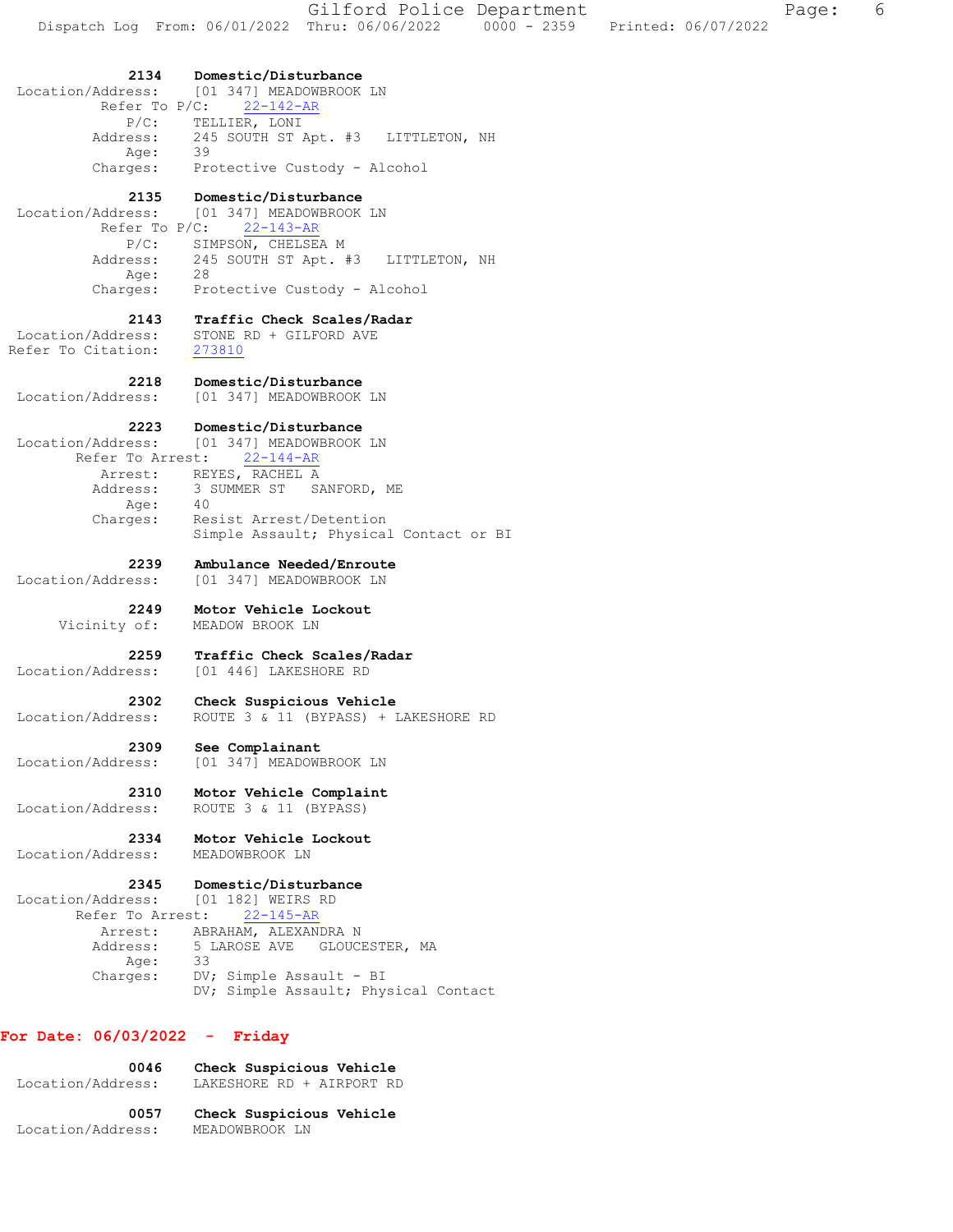**2134 Domestic/Disturbance**  Location/Address: [01 347] MEADOWBROOK LN Refer To P/C: 22-142-AR P/C: TELLIER, LONI Address: 245 SOUTH ST Apt. #3 LITTLETON, NH Age: 39 Charges: Protective Custody - Alcohol  **2135 Domestic/Disturbance**  Location/Address: [01 347] MEADOWBROOK LN Refer To P/C: 22-143-AR P/C: SIMPSON, CHELSEA M Address: 245 SOUTH ST Apt. #3 LITTLETON, NH Age: 28 Charges: Protective Custody - Alcohol  **2143 Traffic Check Scales/Radar**  Location/Address: STONE RD + GILFORD AVE Refer To Citation: 273810  **2218 Domestic/Disturbance**  Location/Address: [01 347] MEADOWBROOK LN  **2223 Domestic/Disturbance**  Location/Address: [01 347] MEADOWBROOK LN Refer To Arrest: 22-144-AR Arrest: REYES, RACHEL A Address: 3 SUMMER ST SANFORD, ME Age: 40 Charges: Resist Arrest/Detention Simple Assault; Physical Contact or BI  **2239 Ambulance Needed/Enroute**  Location/Address: [01 347] MEADOWBROOK LN  **2249 Motor Vehicle Lockout**  Vicinity of: MEADOW BROOK LN **2259 Traffic Check Scales/Radar** Location/Address: [01 446] LAKESHORE RD Location/Address: [01 446] LAKESHORE RD  **2302 Check Suspicious Vehicle**  Location/Address: ROUTE 3 & 11 (BYPASS) + LAKESHORE RD  **2309 See Complainant**  Location/Address: [01 347] MEADOWBROOK LN  **2310 Motor Vehicle Complaint**  Location/Address: ROUTE 3 & 11 (BYPASS)  **2334 Motor Vehicle Lockout**  Location/Address:  **2345 Domestic/Disturbance**  Location/Address: [01 182] WEIRS RD Refer To Arrest: 22-145-AR Arrest: ABRAHAM, ALEXANDRA N Address: 5 LAROSE AVE GLOUCESTER, MA Age: Age: 33<br>Charges: DV; Simple Assault - BI

#### **For Date: 06/03/2022 - Friday**

| Check Suspicious Vehicle  |
|---------------------------|
| LAKESHORE RD + AIRPORT RD |
| Check Suspicious Vehicle  |
| MEADOWBROOK LN            |
|                           |

DV; Simple Assault; Physical Contact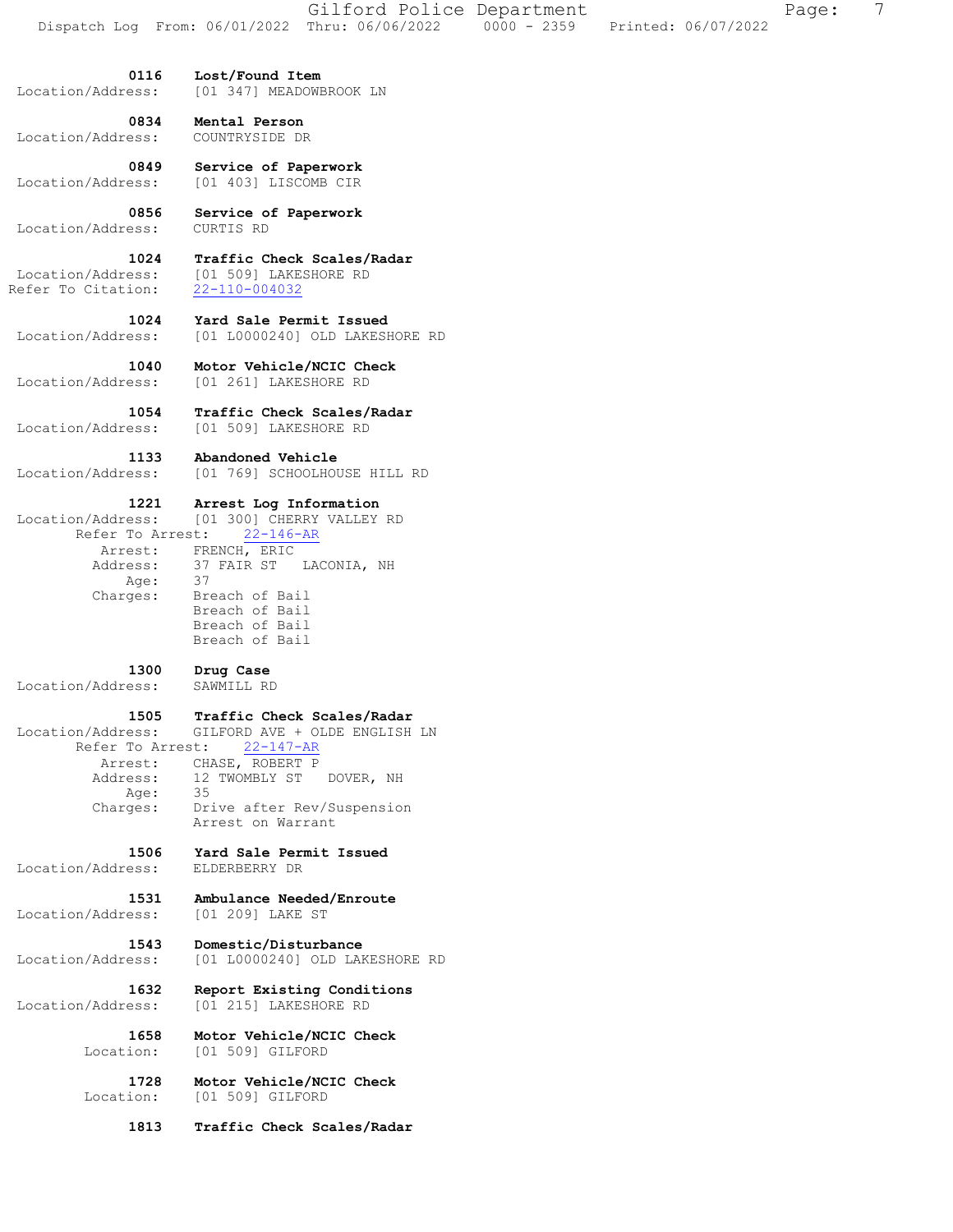**0116 Lost/Found Item**  Location/Address: [01 347] MEADOWBROOK LN

 **0834 Mental Person**  Location/Address:

 **0849 Service of Paperwork**  Location/Address: [01 403] LISCOMB CIR

 **0856 Service of Paperwork**  Location/Address:

 **1024 Traffic Check Scales/Radar**  Location/Address: [01 509] LAKESHORE RD<br>Refer To Citation: 22-110-004032 Refer To Citation:

 **1024 Yard Sale Permit Issued**  Location/Address: [01 L0000240] OLD LAKESHORE RD

 **1040 Motor Vehicle/NCIC Check**  Location/Address: [01 261] LAKESHORE RD

**1054 Traffic Check Scales/Radar** Location/Address: [01 509] LAKESHORE RD [01 509] LAKESHORE RD

**1133 Abandoned Vehicle**<br>Location/Address: [01 769] SCHOOLHOU Location/Address: [01 769] SCHOOLHOUSE HILL RD

 **1221 Arrest Log Information**  Location/Address: [01 300] CHERRY VALLEY RD Refer To Arrest: 22-146-AR Arrest: FRENCH, ERIC Address: 37 FAIR ST LACONIA, NH<br>Address: 37 FAIR ST LACONIA, NH<br>Age: 37 Age: Charges: Breach of Bail Breach of Bail Breach of Bail Breach of Bail

 **1300 Drug Case**  Location/Address: SAWMILL RD  **1505 Traffic Check Scales/Radar**  Location/Address: GILFORD AVE + OLDE ENGLISH LN Refer To Arrest: 22-147-AR

 Arrest: CHASE, ROBERT P Address: 12 TWOMBLY ST DOVER, NH<br>Age: 35 Age: Charges: Drive after Rev/Suspension Arrest on Warrant

 **1506 Yard Sale Permit Issued**  Location/Address: ELDERBERRY DR

 **1531 Ambulance Needed/Enroute**  Location/Address: [01 209] LAKE ST

 **1543 Domestic/Disturbance**  Location/Address: [01 L0000240] OLD LAKESHORE RD

 **1632 Report Existing Conditions**  Location/Address: [01 215] LAKESHORE RD

> **1658 Motor Vehicle/NCIC Check**  Location: [01 509] GILFORD

 **1728 Motor Vehicle/NCIC Check**  Location: [01 509] GILFORD

 **1813 Traffic Check Scales/Radar**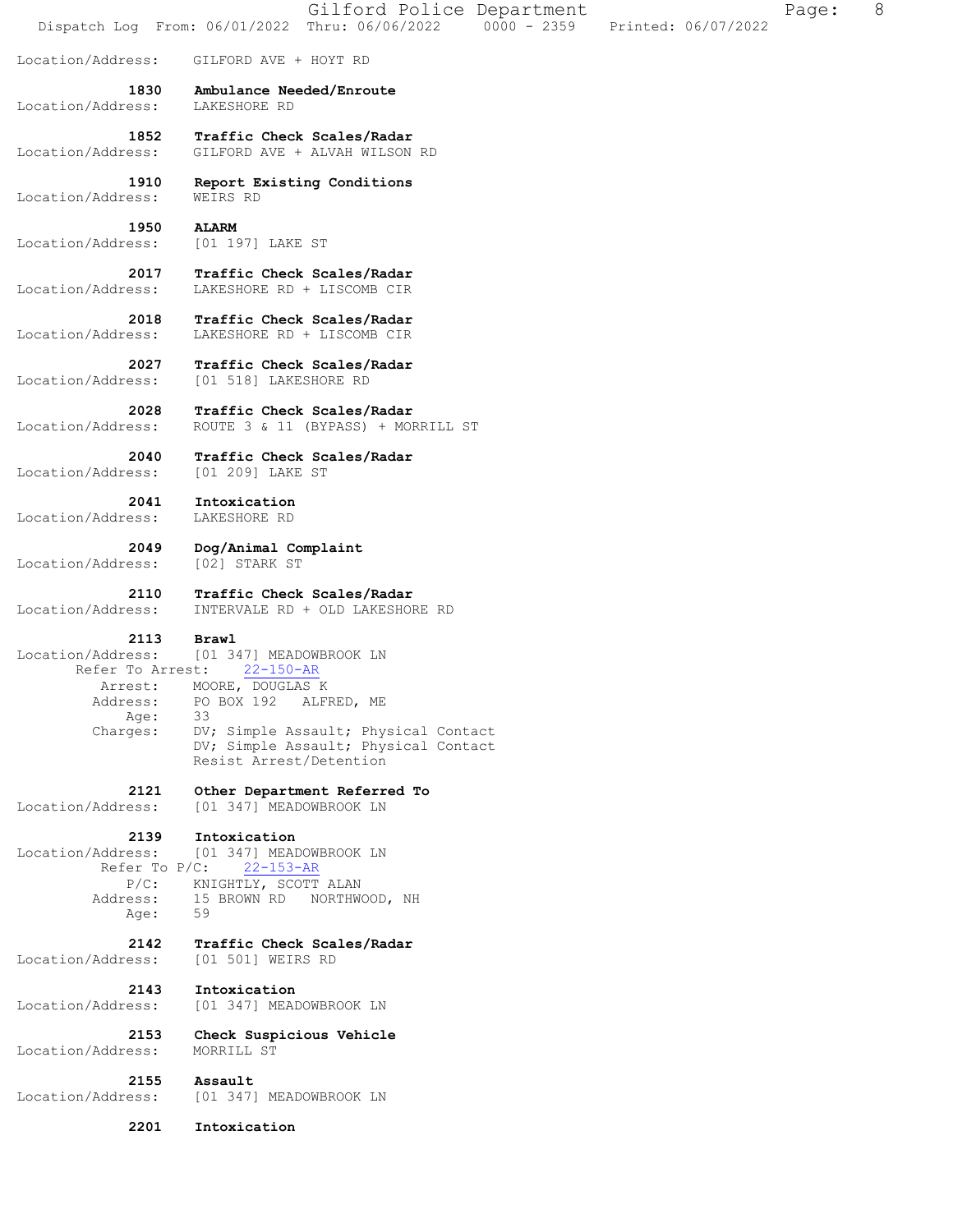|                   | 8<br>Gilford Police Department<br>Page:<br>Dispatch Log From: 06/01/2022 Thru: 06/06/2022 0000 - 2359<br>Printed: 06/07/2022 |
|-------------------|------------------------------------------------------------------------------------------------------------------------------|
| Location/Address: | GILFORD AVE + HOYT RD                                                                                                        |
| 1830              | Ambulance Needed/Enroute                                                                                                     |
| Location/Address: | LAKESHORE RD                                                                                                                 |
| 1852              | Traffic Check Scales/Radar                                                                                                   |
| Location/Address: | GILFORD AVE + ALVAH WILSON RD                                                                                                |
| 1910              | Report Existing Conditions                                                                                                   |
| Location/Address: | WEIRS RD                                                                                                                     |
| 1950              | <b>ALARM</b>                                                                                                                 |
| Location/Address: | [01 197] LAKE ST                                                                                                             |
| 2017              | Traffic Check Scales/Radar                                                                                                   |
| Location/Address: | LAKESHORE RD + LISCOMB CIR                                                                                                   |
| 2018              | Traffic Check Scales/Radar                                                                                                   |
| Location/Address: | LAKESHORE RD + LISCOMB CIR                                                                                                   |
| 2027              | Traffic Check Scales/Radar                                                                                                   |
| Location/Address: | [01 518] LAKESHORE RD                                                                                                        |
| 2028              | Traffic Check Scales/Radar                                                                                                   |
| Location/Address: | ROUTE 3 & 11 (BYPASS) + MORRILL ST                                                                                           |
| 2040              | Traffic Check Scales/Radar                                                                                                   |
| Location/Address: | [01 209] LAKE ST                                                                                                             |
| 2041              | Intoxication                                                                                                                 |
| Location/Address: | LAKESHORE RD                                                                                                                 |
| 2049              | Dog/Animal Complaint                                                                                                         |
| Location/Address: | [02] STARK ST                                                                                                                |
| 2110              | Traffic Check Scales/Radar                                                                                                   |
| Location/Address: | INTERVALE RD + OLD LAKESHORE RD                                                                                              |
| 2113              | Brawl                                                                                                                        |
| Location/Address: | [01 347] MEADOWBROOK LN                                                                                                      |
| Refer To Arrest:  | $22 - 150 - AR$                                                                                                              |
| Arrest:           | MOORE, DOUGLAS K                                                                                                             |
| Address:          | PO BOX 192 ALFRED, ME                                                                                                        |
| Age:              | 33                                                                                                                           |
| Charges:          | DV; Simple Assault; Physical Contact<br>DV; Simple Assault; Physical Contact<br>Resist Arrest/Detention                      |
| 2121              | Other Department Referred To                                                                                                 |
| Location/Address: | [01 347] MEADOWBROOK LN                                                                                                      |
| 2139              | Intoxication                                                                                                                 |
| Location/Address: | [01 347] MEADOWBROOK LN                                                                                                      |
| Refer To $P/C$ :  | $22 - 153 - AR$                                                                                                              |
| $P/C$ :           | KNIGHTLY, SCOTT ALAN                                                                                                         |
| Address:          | 15 BROWN RD NORTHWOOD, NH                                                                                                    |
| Age:              | 59                                                                                                                           |
| 2142              | Traffic Check Scales/Radar                                                                                                   |
| Location/Address: | [01 501] WEIRS RD                                                                                                            |
| 2143              | Intoxication                                                                                                                 |
| Location/Address: | [01 347] MEADOWBROOK LN                                                                                                      |
| 2153              | Check Suspicious Vehicle                                                                                                     |
| Location/Address: | MORRILL ST                                                                                                                   |
| 2155              | Assault                                                                                                                      |
| Location/Address: | [01 347] MEADOWBROOK LN                                                                                                      |
| 2201              | Intoxication                                                                                                                 |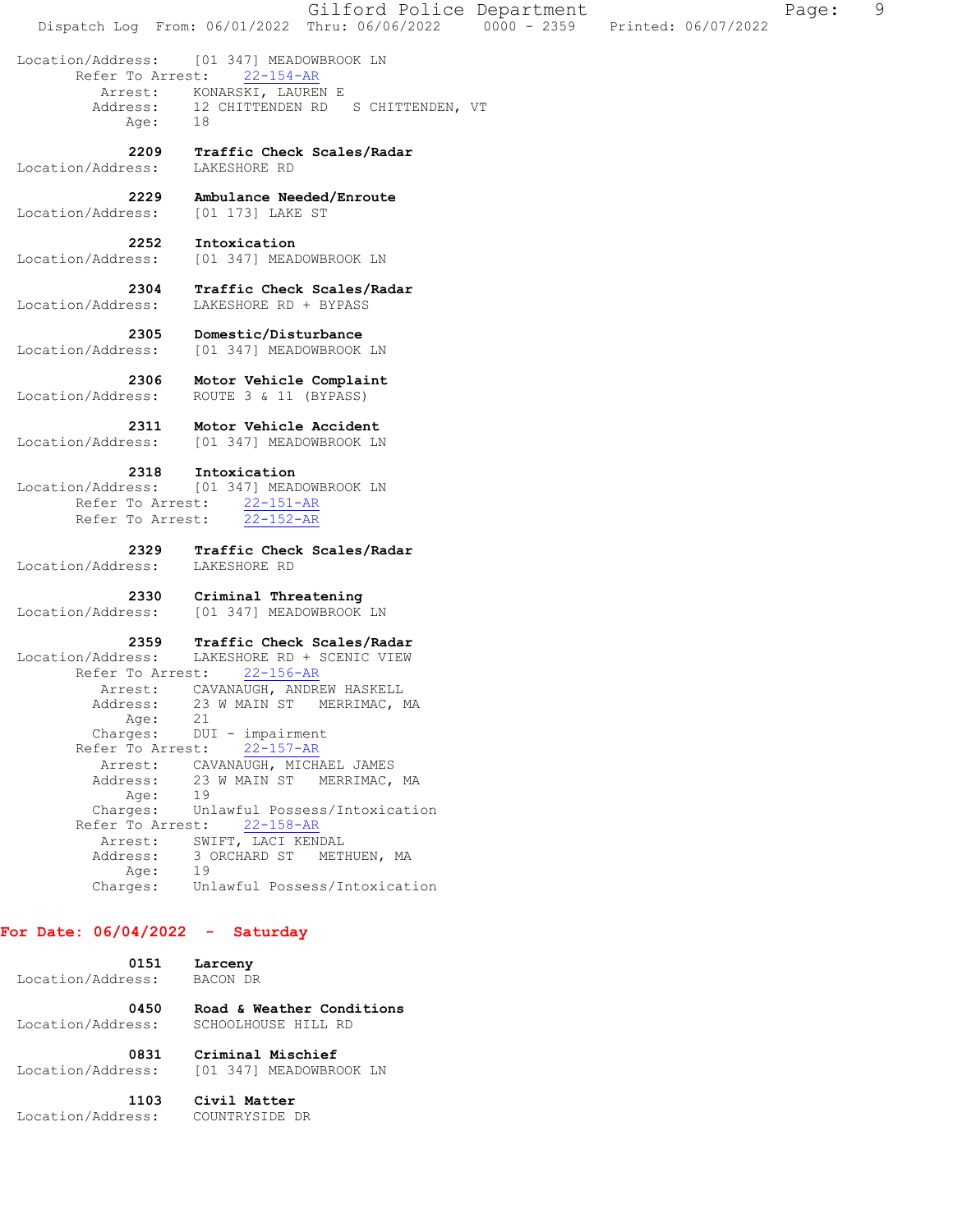Gilford Police Department Fage: 9 Dispatch Log From: 06/01/2022 Thru: 06/06/2022 0000 - 2359 Printed: 06/07/2022 Location/Address: [01 347] MEADOWBROOK LN Refer To Arrest: 22-154-AR Arrest: KONARSKI, LAUREN E<br>Address: 12 CHITTENDEN RD 12 CHITTENDEN RD S CHITTENDEN, VT Age: 18  **2209 Traffic Check Scales/Radar**  Location/Address: LAKESHORE RD  **2229 Ambulance Needed/Enroute**  Location/Address: [01 173] LAKE ST  **2252 Intoxication**  Location/Address: [01 347] MEADOWBROOK LN  **2304 Traffic Check Scales/Radar**  Location/Address: LAKESHORE RD + BYPASS  **2305 Domestic/Disturbance**  Location/Address: [01 347] MEADOWBROOK LN  **2306 Motor Vehicle Complaint**  Location/Address: ROUTE 3 & 11 (BYPASS)  **2311 Motor Vehicle Accident**  Location/Address: [01 347] MEADOWBROOK LN  **2318 Intoxication**  Location/Address: [01 347] MEADOWBROOK LN Refer To Arrest:  $\frac{22-151-AR}{22-152-AR}$ Refer To Arrest:  **2329 Traffic Check Scales/Radar**  Location/Address: LAKESHORE RD  **2330 Criminal Threatening**  Location/Address: [01 347] MEADOWBROOK LN  **2359 Traffic Check Scales/Radar**  Location/Address: LAKESHORE RD + SCENIC VIEW Refer To Arrest: 22-156-AR Arrest: CAVANAUGH, ANDREW HASKELL<br>Address: 23 W MAIN ST MERRIMAC, 1 23 W MAIN ST MERRIMAC, MA Age: 21 Charges: DUI - impairment Refer To Arrest: 22-157-AR Arrest: CAVANAUGH, MICHAEL JAMES 23 W MAIN ST MERRIMAC, MA<br>19 Address:<br>Age: Charges: Unlawful Possess/Intoxication Refer To Arrest: 22-158-AR Arrest: SWIFT, LACI KENDAL Address: 3 ORCHARD ST METHUEN, MA<br>Age: 19 Age: Charges: Unlawful Possess/Intoxication **For Date: 06/04/2022 - Saturday**

| 0151              | Larceny                   |
|-------------------|---------------------------|
| Location/Address: | BACON DR                  |
| 0450              | Road & Weather Conditions |
| Location/Address: | SCHOOLHOUSE HILL RD       |
| 0831              | Criminal Mischief         |
| Location/Address: | [01 347] MEADOWBROOK LN   |
| 1103              | Civil Matter              |
| Location/Address: | COUNTRYSIDE DR            |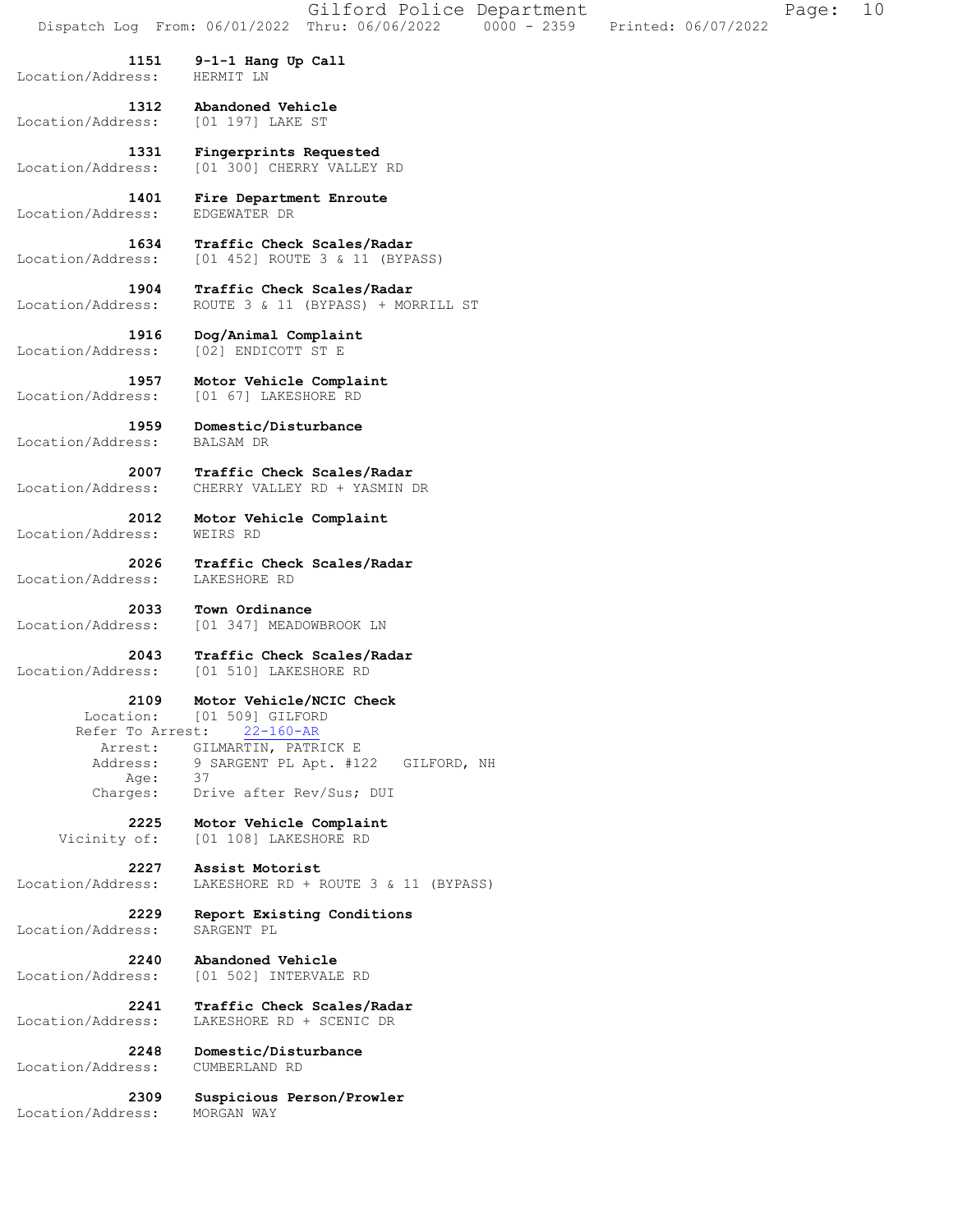**1151 9-1-1 Hang Up Call**  Location/Address: HERMIT LN  **1312 Abandoned Vehicle**  Location/Address: [01 197] LAKE ST  **1331 Fingerprints Requested**  Location/Address: [01 300] CHERRY VALLEY RD

 **1401 Fire Department Enroute**  Location/Address:

 **1634 Traffic Check Scales/Radar**  Location/Address: [01 452] ROUTE 3 & 11 (BYPASS)

 **1904 Traffic Check Scales/Radar**  Location/Address: ROUTE 3 & 11 (BYPASS) + MORRILL ST

 **1916 Dog/Animal Complaint**  Location/Address: [02] ENDICOTT ST E

 **1957 Motor Vehicle Complaint**  Location/Address: [01 67] LAKESHORE RD

 **1959 Domestic/Disturbance**  Location/Address: BALSAM DR

 **2007 Traffic Check Scales/Radar**  Location/Address: CHERRY VALLEY RD + YASMIN DR

 **2012 Motor Vehicle Complaint**  Location/Address: WEIRS RD

 **2026 Traffic Check Scales/Radar**  Location/Address: LAKESHORE RD

 **2033 Town Ordinance**  Location/Address: [01 347] MEADOWBROOK LN

 **2043 Traffic Check Scales/Radar**  Location/Address: [01 510] LAKESHORE RD

 **2109 Motor Vehicle/NCIC Check** 

 Location: [01 509] GILFORD Refer To Arrest: 22-160-AR Arrest: GILMARTIN, PATRICK E 9 SARGENT PL Apt. #122 GILFORD, NH<br>37 Address:<br>Age:<br>Charges: Drive after Rev/Sus; DUI

> **2225 Motor Vehicle Complaint**  Vicinity of: [01 108] LAKESHORE RD

 **2227 Assist Motorist**  Location/Address: LAKESHORE RD + ROUTE 3 & 11 (BYPASS)

 **2229 Report Existing Conditions**  Location/Address: SARGENT PL

 **2240 Abandoned Vehicle**  Location/Address: [01 502] INTERVALE RD

 **2241 Traffic Check Scales/Radar**  Location/Address: LAKESHORE RD + SCENIC DR

Location/Address: CUMBERLAND RD

 **2248 Domestic/Disturbance** 

 **2309 Suspicious Person/Prowler**  Location/Address: MORGAN WAY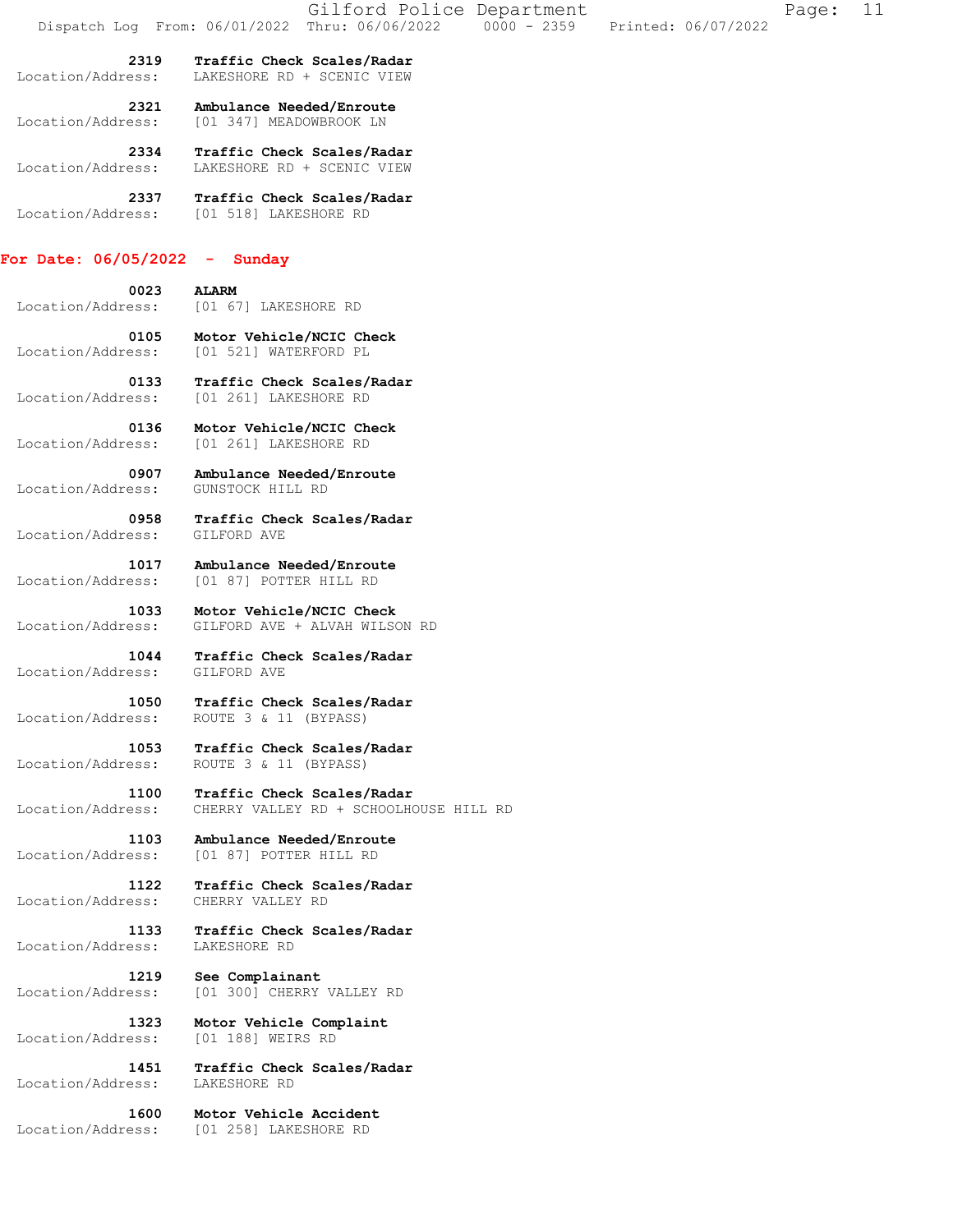|                                 | Gilford Police Department<br>$0000 - 2359$<br>Dispatch Log From: 06/01/2022 Thru: 06/06/2022<br>Printed: 06/07/2022 | 11<br>Page: |
|---------------------------------|---------------------------------------------------------------------------------------------------------------------|-------------|
| 2319<br>Location/Address:       | Traffic Check Scales/Radar<br>LAKESHORE RD + SCENIC VIEW                                                            |             |
| 2321<br>Location/Address:       | Ambulance Needed/Enroute<br>[01 347] MEADOWBROOK LN                                                                 |             |
| 2334<br>Location/Address:       | Traffic Check Scales/Radar<br>LAKESHORE RD + SCENIC VIEW                                                            |             |
| 2337<br>Location/Address:       | Traffic Check Scales/Radar<br>[01 518] LAKESHORE RD                                                                 |             |
| For Date: $06/05/2022 -$ Sunday |                                                                                                                     |             |
| 0023<br>Location/Address:       | <b>ALARM</b><br>[01 67] LAKESHORE RD                                                                                |             |
| 0105<br>Location/Address:       | Motor Vehicle/NCIC Check<br>[01 521] WATERFORD PL                                                                   |             |
| 0133                            | Traffic Check Scales/Radar                                                                                          |             |
| Location/Address:               | [01 261] LAKESHORE RD                                                                                               |             |
| 0136<br>Location/Address:       | Motor Vehicle/NCIC Check<br>[01 261] LAKESHORE RD                                                                   |             |
| 0907<br>Location/Address:       | Ambulance Needed/Enroute<br>GUNSTOCK HILL RD                                                                        |             |

 **0958 Traffic Check Scales/Radar**  Location/Address: GILFORD AVE

 **1017 Ambulance Needed/Enroute**  Location/Address: [01 87] POTTER HILL RD

 **1033 Motor Vehicle/NCIC Check**  Location/Address: GILFORD AVE + ALVAH WILSON RD

 **1044 Traffic Check Scales/Radar**  Location/Address: GILFORD AVE

 **1050 Traffic Check Scales/Radar**  Location/Address: ROUTE 3 & 11 (BYPASS)

 **1053 Traffic Check Scales/Radar**  Location/Address: ROUTE 3 & 11 (BYPASS)

 **1100 Traffic Check Scales/Radar**  Location/Address: CHERRY VALLEY RD + SCHOOLHOUSE HILL RD

 **1103 Ambulance Needed/Enroute**  Location/Address: [01 87] POTTER HILL RD

 **1122 Traffic Check Scales/Radar**  Location/Address: CHERRY VALLEY RD

 **1133 Traffic Check Scales/Radar**  Location/Address: LAKESHORE RD

 **1219 See Complainant**  Location/Address: [01 300] CHERRY VALLEY RD

 **1323 Motor Vehicle Complaint**  Location/Address: [01 188] WEIRS RD

 **1451 Traffic Check Scales/Radar**  Location/Address:

 **1600 Motor Vehicle Accident**  Location/Address: [01 258] LAKESHORE RD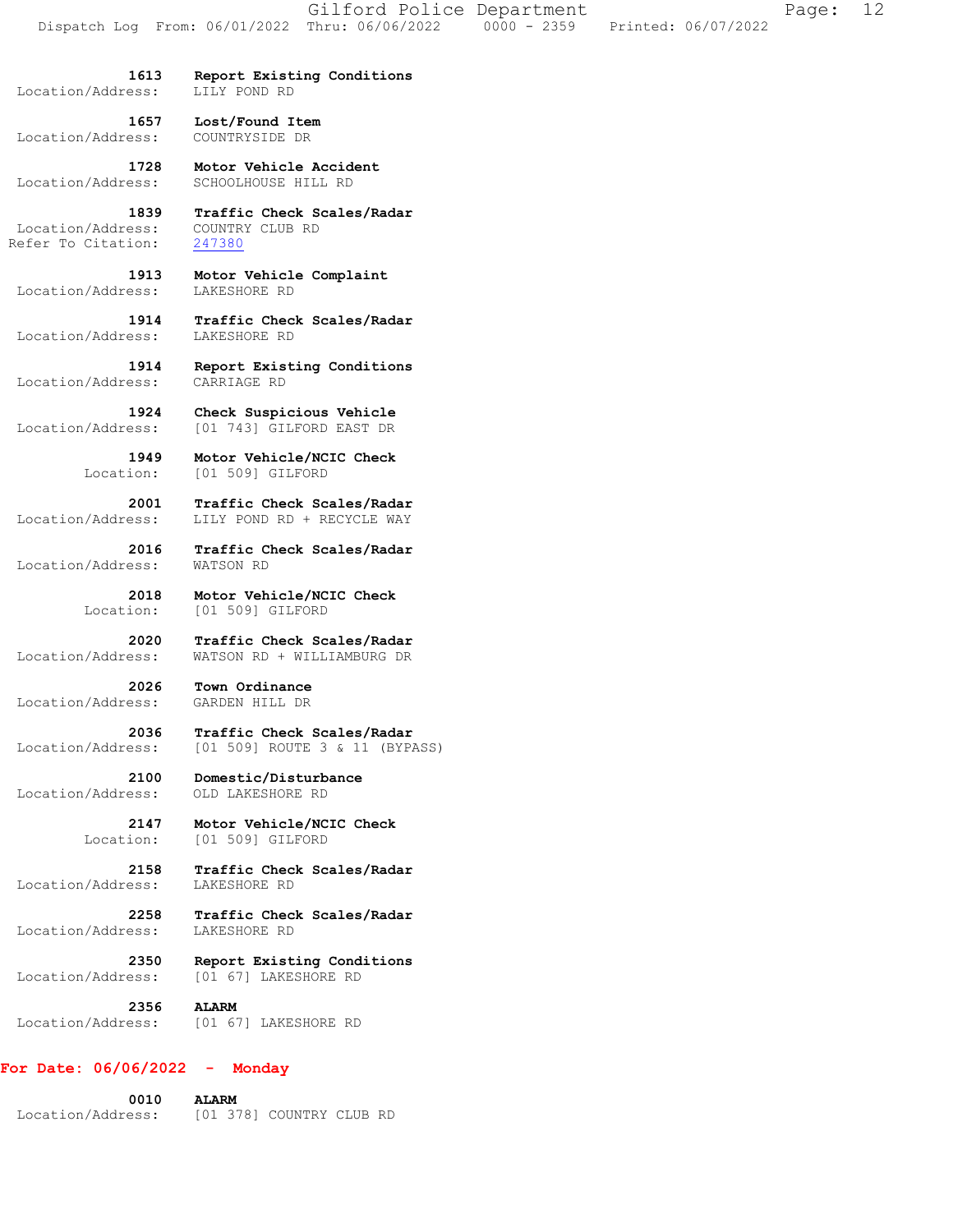Location/Address:

 **1613 Report Existing Conditions** 

 **1657 Lost/Found Item**  Location/Address: COUNTRYSIDE DR

 **1728 Motor Vehicle Accident**  Location/Address: SCHOOLHOUSE HILL RD

 **1839 Traffic Check Scales/Radar**  Location/Address: COUNTRY CLUB RD Refer To Citation: 247380

 **1913 Motor Vehicle Complaint**  Location/Address: LAKESHORE RD

 **1914 Traffic Check Scales/Radar**  Location/Address: LAKESHORE RD

 **1914 Report Existing Conditions**  Location/Address: CARRIAGE RD

**1924 Check Suspicious Vehicle**<br>Location/Address: [01 743] GILFORD EAST DR [01 743] GILFORD EAST DR

> 1949 Motor Vehicle/NCIC Check<br>Location: [01 509] GILFORD Location: [01 509] GILFORD

 **2001 Traffic Check Scales/Radar**  Location/Address: LILY POND RD + RECYCLE WAY

 **2016 Traffic Check Scales/Radar**  Location/Address:

> **2018 Motor Vehicle/NCIC Check**  Location: [01 509] GILFORD

 **2020 Traffic Check Scales/Radar**  Location/Address: WATSON RD + WILLIAMBURG DR

 **2026 Town Ordinance**  Location/Address: GARDEN HILL DR

 **2036 Traffic Check Scales/Radar**  Location/Address: [01 509] ROUTE 3 & 11 (BYPASS)

 **2100 Domestic/Disturbance**  Location/Address: OLD LAKESHORE RD

> **2147 Motor Vehicle/NCIC Check**  Location: [01 509] GILFORD

 **2158 Traffic Check Scales/Radar**  Location/Address: LAKESHORE RD

 **2258 Traffic Check Scales/Radar**  Location/Address: LAKESHORE RD

 **2350 Report Existing Conditions**  Location/Address: [01 67] LAKESHORE RD

 **2356 ALARM**  Location/Address: [01 67] LAKESHORE RD

#### **For Date: 06/06/2022 - Monday**

 **0010 ALARM**  Location/Address: [01 378] COUNTRY CLUB RD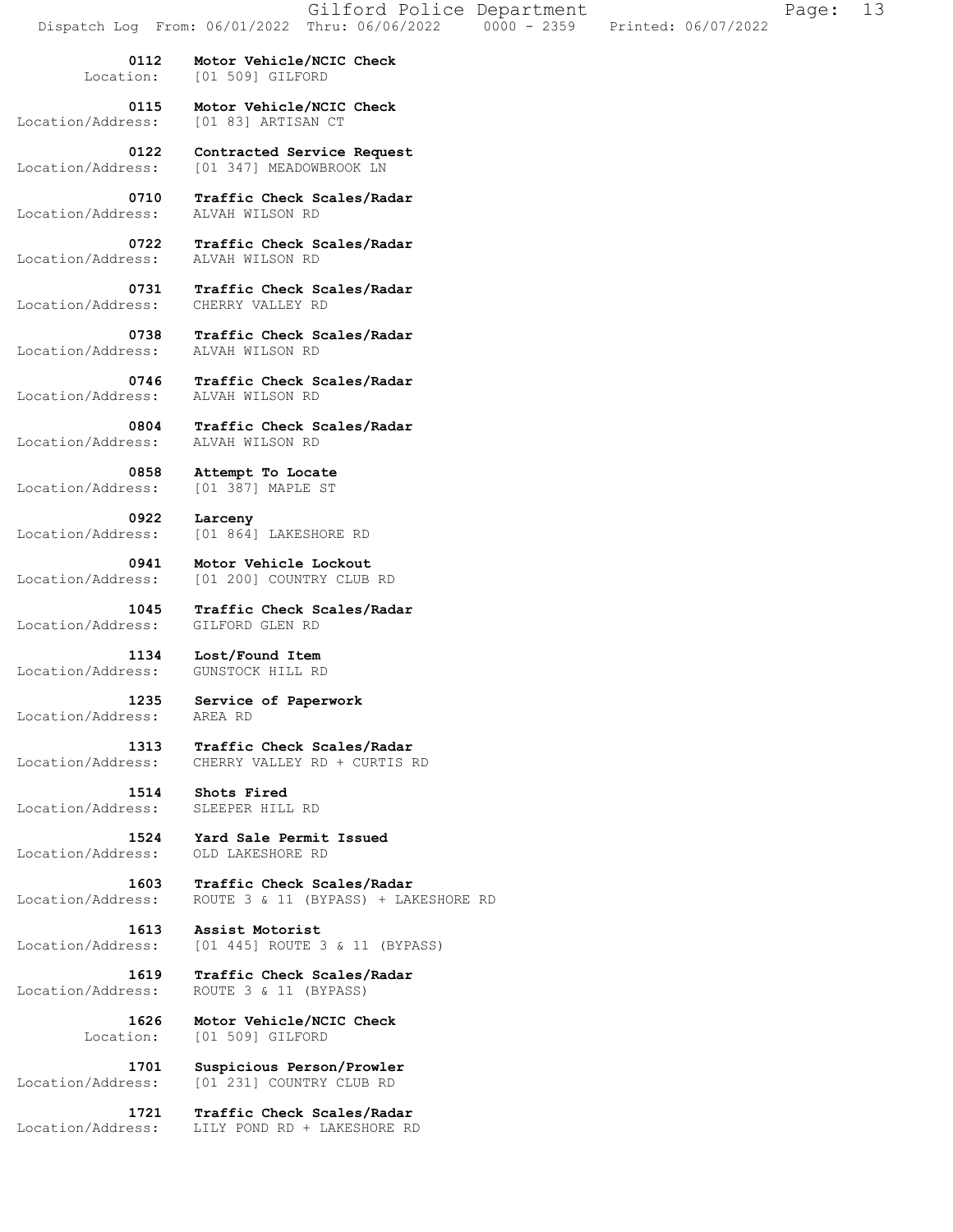| Dispatch Log From: 06/01/2022 | Gilford Police Department<br>Thru: 06/06/2022<br>$0000 - 2359$<br>Printed: 06/07/2022 | Page: | 13 |
|-------------------------------|---------------------------------------------------------------------------------------|-------|----|
| 0112<br>Location:             | Motor Vehicle/NCIC Check<br>[01 509] GILFORD                                          |       |    |
| 0115<br>Location/Address:     | Motor Vehicle/NCIC Check<br>[01 83] ARTISAN CT                                        |       |    |
| 0122<br>Location/Address:     | Contracted Service Request<br>[01 347] MEADOWBROOK LN                                 |       |    |
| 0710<br>Location/Address:     | Traffic Check Scales/Radar<br>ALVAH WILSON RD                                         |       |    |
| 0722<br>Location/Address:     | Traffic Check Scales/Radar<br>ALVAH WILSON RD                                         |       |    |
| 0731<br>Location/Address:     | Traffic Check Scales/Radar<br>CHERRY VALLEY RD                                        |       |    |
| 0738<br>Location/Address:     | Traffic Check Scales/Radar<br>ALVAH WILSON RD                                         |       |    |
| 0746<br>Location/Address:     | Traffic Check Scales/Radar<br>ALVAH WILSON RD                                         |       |    |
| 0804<br>Location/Address:     | Traffic Check Scales/Radar<br>ALVAH WILSON RD                                         |       |    |
| 0858<br>Location/Address:     | Attempt To Locate<br>[01 387] MAPLE ST                                                |       |    |
| 0922<br>Location/Address:     | Larceny<br>[01 864] LAKESHORE RD                                                      |       |    |
| 0941<br>Location/Address:     | Motor Vehicle Lockout<br>[01 200] COUNTRY CLUB RD                                     |       |    |
| 1045<br>Location/Address:     | Traffic Check Scales/Radar<br>GILFORD GLEN RD                                         |       |    |
| 1134<br>Location/Address:     | Lost/Found Item<br>GUNSTOCK HILL RD                                                   |       |    |
| 1235<br>Location/Address:     | Service of Paperwork<br>AREA RD                                                       |       |    |
| 1313<br>Location/Address:     | Traffic Check Scales/Radar<br>CHERRY VALLEY RD + CURTIS RD                            |       |    |
| 1514<br>Location/Address:     | Shots Fired<br>SLEEPER HILL RD                                                        |       |    |
| 1524<br>Location/Address:     | Yard Sale Permit Issued<br>OLD LAKESHORE RD                                           |       |    |
| 1603<br>Location/Address:     | Traffic Check Scales/Radar<br>ROUTE 3 & 11 (BYPASS) + LAKESHORE RD                    |       |    |
| 1613<br>Location/Address:     | Assist Motorist<br>[01 445] ROUTE 3 & 11 (BYPASS)                                     |       |    |
| 1619<br>Location/Address:     | Traffic Check Scales/Radar<br>ROUTE 3 & 11 (BYPASS)                                   |       |    |
| 1626<br>Location:             | Motor Vehicle/NCIC Check<br>[01 509] GILFORD                                          |       |    |
| 1701<br>Location/Address:     | Suspicious Person/Prowler<br>[01 231] COUNTRY CLUB RD                                 |       |    |
| 1721                          | Traffic Check Scales/Radar                                                            |       |    |

Location/Address: LILY POND RD + LAKESHORE RD